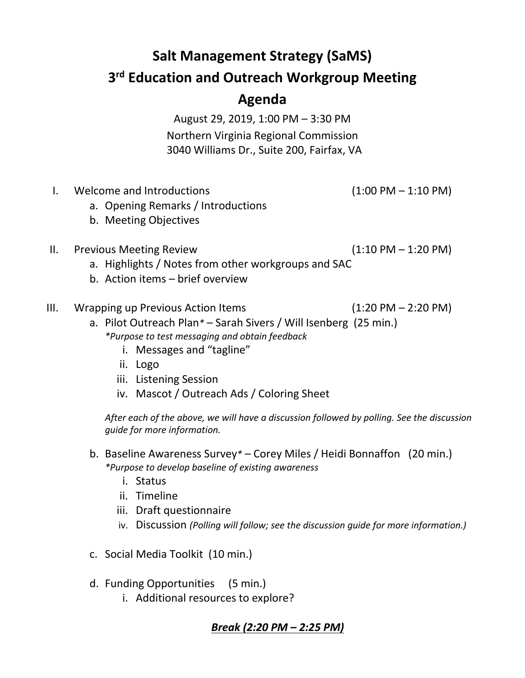# **Salt Management Strategy (SaMS)**

### **3 rd Education and Outreach Workgroup Meeting**

## **Agenda**

August 29, 2019, 1:00 PM – 3:30 PM Northern Virginia Regional Commission 3040 Williams Dr., Suite 200, Fairfax, VA

- I. Welcome and Introductions (1:00 PM 1:10 PM)
	- a. Opening Remarks / Introductions
	- b. Meeting Objectives

#### II. Previous Meeting Review (1:10 PM – 1:20 PM)

- a. Highlights / Notes from other workgroups and SAC
- b. Action items brief overview
- III. Wrapping up Previous Action Items (1:20 PM 2:20 PM)
	- a. Pilot Outreach Plan*\** Sarah Sivers / Will Isenberg (25 min.) *\*Purpose to test messaging and obtain feedback*
		- i. Messages and "tagline"
		- ii. Logo
		- iii. Listening Session
		- iv. Mascot / Outreach Ads / Coloring Sheet

*After each of the above, we will have a discussion followed by polling. See the discussion guide for more information.*

- b. Baseline Awareness Survey*\** Corey Miles / Heidi Bonnaffon (20 min.) *\*Purpose to develop baseline of existing awareness*
	- i. Status
	- ii. Timeline
	- iii. Draft questionnaire
	- iv. Discussion *(Polling will follow; see the discussion guide for more information.)*
- c. Social Media Toolkit (10 min.)
- d. Funding Opportunities (5 min.)
	- i. Additional resources to explore?

#### *Break (2:20 PM – 2:25 PM)*